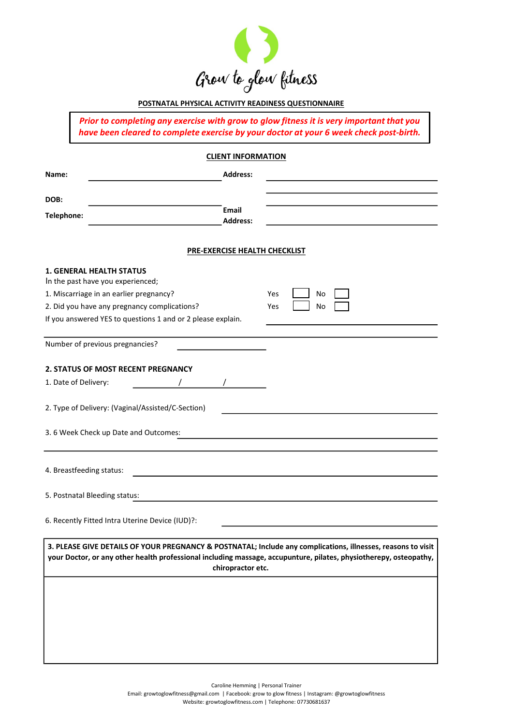

# POSTNATAL PHYSICAL ACTIVITY READINESS QUESTIONNAIRE

## CLIENT INFORMATION

|            | Grow to glow fitness                                                                                                                                                               |                                                                                                                                                                                                                               |  |
|------------|------------------------------------------------------------------------------------------------------------------------------------------------------------------------------------|-------------------------------------------------------------------------------------------------------------------------------------------------------------------------------------------------------------------------------|--|
|            | POSTNATAL PHYSICAL ACTIVITY READINESS QUESTIONNAIRE                                                                                                                                |                                                                                                                                                                                                                               |  |
|            | Prior to completing any exercise with grow to glow fitness it is very important that you<br>have been cleared to complete exercise by your doctor at your 6 week check post-birth. |                                                                                                                                                                                                                               |  |
|            | <b>CLIENT INFORMATION</b>                                                                                                                                                          |                                                                                                                                                                                                                               |  |
| Name:      | <b>Address:</b>                                                                                                                                                                    |                                                                                                                                                                                                                               |  |
| DOB:       | Email                                                                                                                                                                              |                                                                                                                                                                                                                               |  |
| Telephone: | <b>Address:</b>                                                                                                                                                                    |                                                                                                                                                                                                                               |  |
|            | <b>PRE-EXERCISE HEALTH CHECKLIST</b>                                                                                                                                               |                                                                                                                                                                                                                               |  |
|            | <b>1. GENERAL HEALTH STATUS</b><br>In the past have you experienced;<br>1. Miscarriage in an earlier pregnancy?<br>2. Did you have any pregnancy complications?                    | Yes<br>No<br>Yes<br>No                                                                                                                                                                                                        |  |
|            | If you answered YES to questions 1 and or 2 please explain.                                                                                                                        |                                                                                                                                                                                                                               |  |
|            | Number of previous pregnancies?                                                                                                                                                    |                                                                                                                                                                                                                               |  |
|            | 2. STATUS OF MOST RECENT PREGNANCY<br>1. Date of Delivery:                                                                                                                         |                                                                                                                                                                                                                               |  |
|            | 2. Type of Delivery: (Vaginal/Assisted/C-Section)                                                                                                                                  |                                                                                                                                                                                                                               |  |
|            | 3.6 Week Check up Date and Outcomes:                                                                                                                                               | the control of the control of the control of the control of the control of the control of the control of the control of the control of the control of the control of the control of the control of the control of the control |  |
|            | 4. Breastfeeding status:                                                                                                                                                           | <u> 1989 - Johann Barbara, martxa alemaniar argametria (h. 1989).</u>                                                                                                                                                         |  |
|            | 5. Postnatal Bleeding status:                                                                                                                                                      |                                                                                                                                                                                                                               |  |
|            | 6. Recently Fitted Intra Uterine Device (IUD)?:                                                                                                                                    |                                                                                                                                                                                                                               |  |

Caroline Hemming | Personal Trainer

Email: growtoglowfitness@gmail.com | Facebook: grow to glow fitness | Instagram: @growtoglowfitness Website: growtoglowfitness.com | Telephone: 07730681637